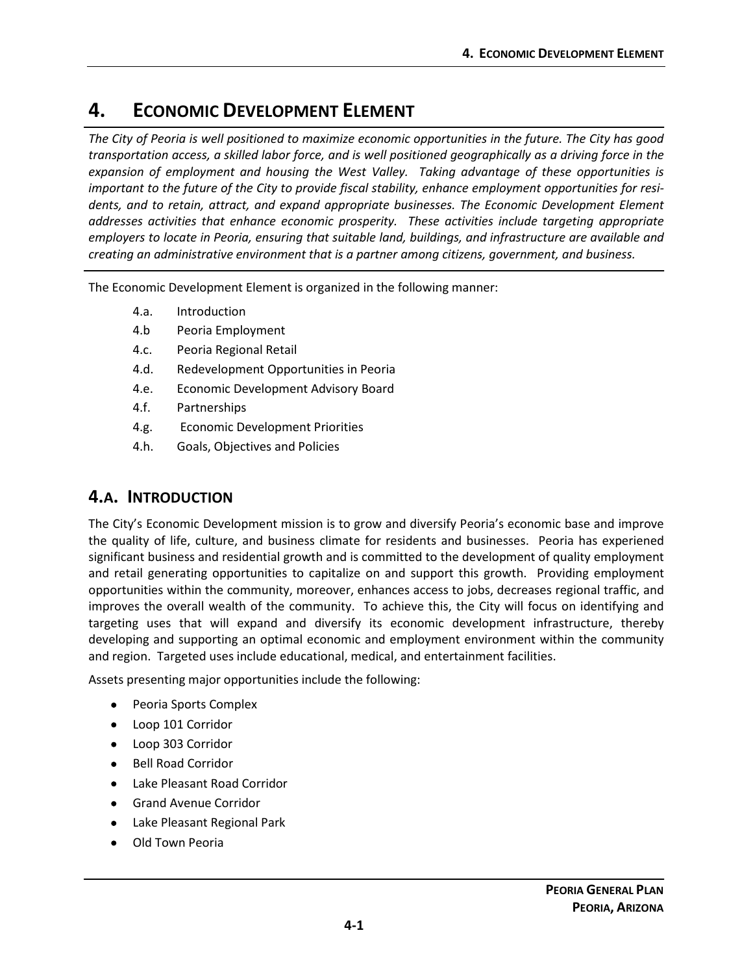# **4. ECONOMIC DEVELOPMENT ELEMENT**

*The City of Peoria is well positioned to maximize economic opportunities in the future. The City has good transportation access, a skilled labor force, and is well positioned geographically as a driving force in the expansion of employment and housing the West Valley. Taking advantage of these opportunities is important to the future of the City to provide fiscal stability, enhance employment opportunities for residents, and to retain, attract, and expand appropriate businesses. The Economic Development Element addresses activities that enhance economic prosperity. These activities include targeting appropriate employers to locate in Peoria, ensuring that suitable land, buildings, and infrastructure are available and creating an administrative environment that is a partner among citizens, government, and business.*

The Economic Development Element is organized in the following manner:

- 4.a. [Introduction](#page-0-0)
- 4.b [Peoria Employment](#page-1-0)
- 4.c. [Peoria Regional Retail](#page-5-0)
- 4.d. [Redevelopment Opportunities in Peoria](#page-5-1)
- 4.e. [Economic Development Advisory Board](#page-6-0)
- 4.f. [Partnerships](#page-6-1)
- 4.g. [Economic Development Priorities](#page-7-0)
- 4.h. [Goals, Objectives and Policies](#page-7-1)

# <span id="page-0-0"></span>**4.A. INTRODUCTION**

The City's Economic Development mission is to grow and diversify Peoria's economic base and improve the quality of life, culture, and business climate for residents and businesses. Peoria has experiened significant business and residential growth and is committed to the development of quality employment and retail generating opportunities to capitalize on and support this growth. Providing employment opportunities within the community, moreover, enhances access to jobs, decreases regional traffic, and improves the overall wealth of the community. To achieve this, the City will focus on identifying and targeting uses that will expand and diversify its economic development infrastructure, thereby developing and supporting an optimal economic and employment environment within the community and region. Targeted uses include educational, medical, and entertainment facilities.

Assets presenting major opportunities include the following:

- Peoria Sports Complex
- Loop 101 Corridor
- Loop 303 Corridor
- Bell Road Corridor
- Lake Pleasant Road Corridor
- Grand Avenue Corridor
- Lake Pleasant Regional Park
- Old Town Peoria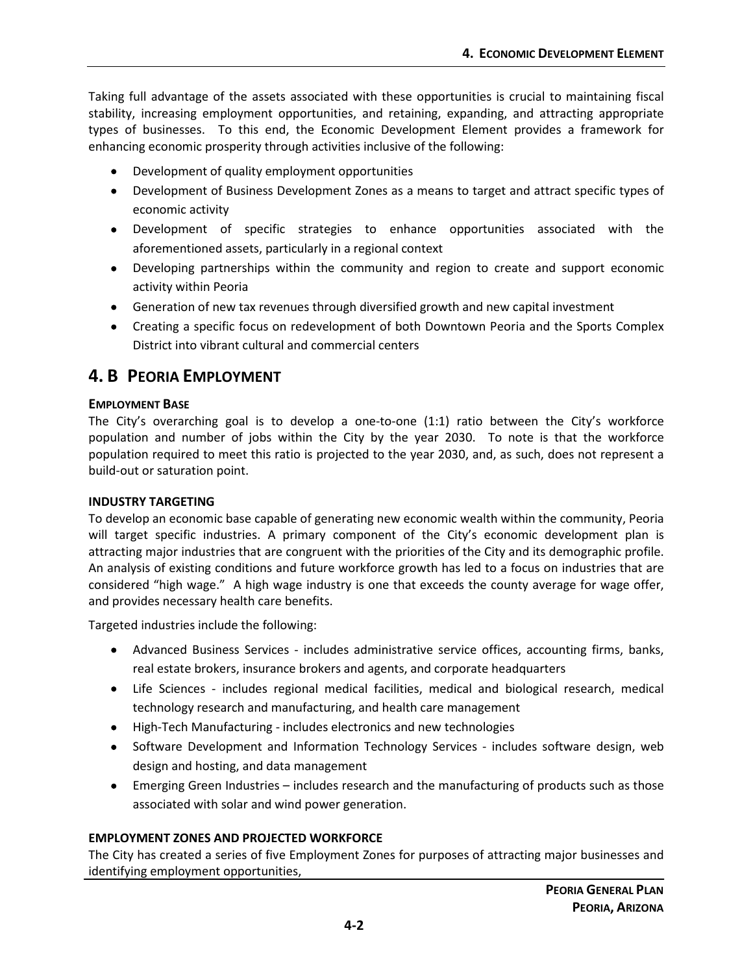Taking full advantage of the assets associated with these opportunities is crucial to maintaining fiscal stability, increasing employment opportunities, and retaining, expanding, and attracting appropriate types of businesses. To this end, the Economic Development Element provides a framework for enhancing economic prosperity through activities inclusive of the following:

- Development of quality employment opportunities
- Development of Business Development Zones as a means to target and attract specific types of economic activity
- Development of specific strategies to enhance opportunities associated with the aforementioned assets, particularly in a regional context
- Developing partnerships within the community and region to create and support economic activity within Peoria
- Generation of new tax revenues through diversified growth and new capital investment
- Creating a specific focus on redevelopment of both Downtown Peoria and the Sports Complex District into vibrant cultural and commercial centers

# <span id="page-1-0"></span>**4. B PEORIA EMPLOYMENT**

# **EMPLOYMENT BASE**

The City's overarching goal is to develop a one-to-one (1:1) ratio between the City's workforce population and number of jobs within the City by the year 2030. To note is that the workforce population required to meet this ratio is projected to the year 2030, and, as such, does not represent a build-out or saturation point.

# **INDUSTRY TARGETING**

To develop an economic base capable of generating new economic wealth within the community, Peoria will target specific industries. A primary component of the City's economic development plan is attracting major industries that are congruent with the priorities of the City and its demographic profile. An analysis of existing conditions and future workforce growth has led to a focus on industries that are considered "high wage." A high wage industry is one that exceeds the county average for wage offer, and provides necessary health care benefits.

Targeted industries include the following:

- Advanced Business Services includes administrative service offices, accounting firms, banks, real estate brokers, insurance brokers and agents, and corporate headquarters
- Life Sciences includes regional medical facilities, medical and biological research, medical technology research and manufacturing, and health care management
- High-Tech Manufacturing includes electronics and new technologies
- Software Development and Information Technology Services includes software design, web design and hosting, and data management
- Emerging Green Industries includes research and the manufacturing of products such as those associated with solar and wind power generation.

# **EMPLOYMENT ZONES AND PROJECTED WORKFORCE**

The City has created a series of five Employment Zones for purposes of attracting major businesses and identifying employment opportunities,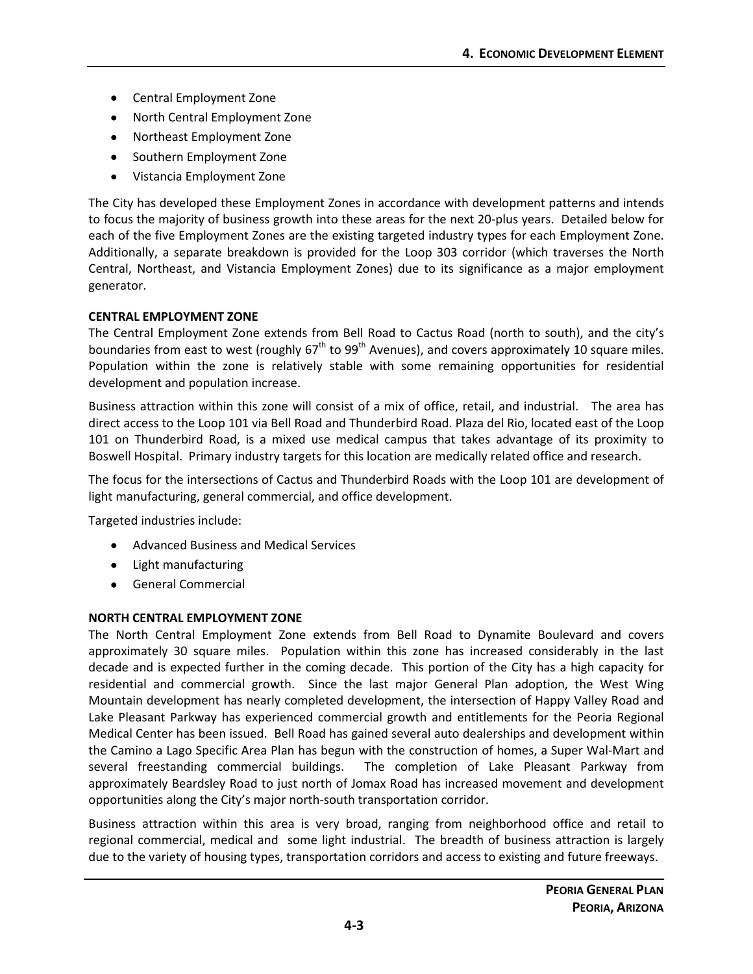- Central Employment Zone
- North Central Employment Zone
- Northeast Employment Zone
- Southern Employment Zone
- Vistancia Employment Zone

The City has developed these Employment Zones in accordance with development patterns and intends to focus the majority of business growth into these areas for the next 20-plus years. Detailed below for each of the five Employment Zones are the existing targeted industry types for each Employment Zone. Additionally, a separate breakdown is provided for the Loop 303 corridor (which traverses the North Central, Northeast, and Vistancia Employment Zones) due to its significance as a major employment generator.

# **CENTRAL EMPLOYMENT ZONE**

The Central Employment Zone extends from Bell Road to Cactus Road (north to south), and the city's boundaries from east to west (roughly  $67<sup>th</sup>$  to  $99<sup>th</sup>$  Avenues), and covers approximately 10 square miles. Population within the zone is relatively stable with some remaining opportunities for residential development and population increase.

Business attraction within this zone will consist of a mix of office, retail, and industrial. The area has direct access to the Loop 101 via Bell Road and Thunderbird Road. Plaza del Rio, located east of the Loop 101 on Thunderbird Road, is a mixed use medical campus that takes advantage of its proximity to Boswell Hospital. Primary industry targets for this location are medically related office and research.

The focus for the intersections of Cactus and Thunderbird Roads with the Loop 101 are development of light manufacturing, general commercial, and office development.

Targeted industries include:

- Advanced Business and Medical Services
- Light manufacturing
- General Commercial

# **NORTH CENTRAL EMPLOYMENT ZONE**

The North Central Employment Zone extends from Bell Road to Dynamite Boulevard and covers approximately 30 square miles. Population within this zone has increased considerably in the last decade and is expected further in the coming decade. This portion of the City has a high capacity for residential and commercial growth. Since the last major General Plan adoption, the West Wing Mountain development has nearly completed development, the intersection of Happy Valley Road and Lake Pleasant Parkway has experienced commercial growth and entitlements for the Peoria Regional Medical Center has been issued. Bell Road has gained several auto dealerships and development within the Camino a Lago Specific Area Plan has begun with the construction of homes, a Super Wal-Mart and several freestanding commercial buildings. The completion of Lake Pleasant Parkway from approximately Beardsley Road to just north of Jomax Road has increased movement and development opportunities along the City's major north-south transportation corridor.

Business attraction within this area is very broad, ranging from neighborhood office and retail to regional commercial, medical and some light industrial. The breadth of business attraction is largely due to the variety of housing types, transportation corridors and access to existing and future freeways.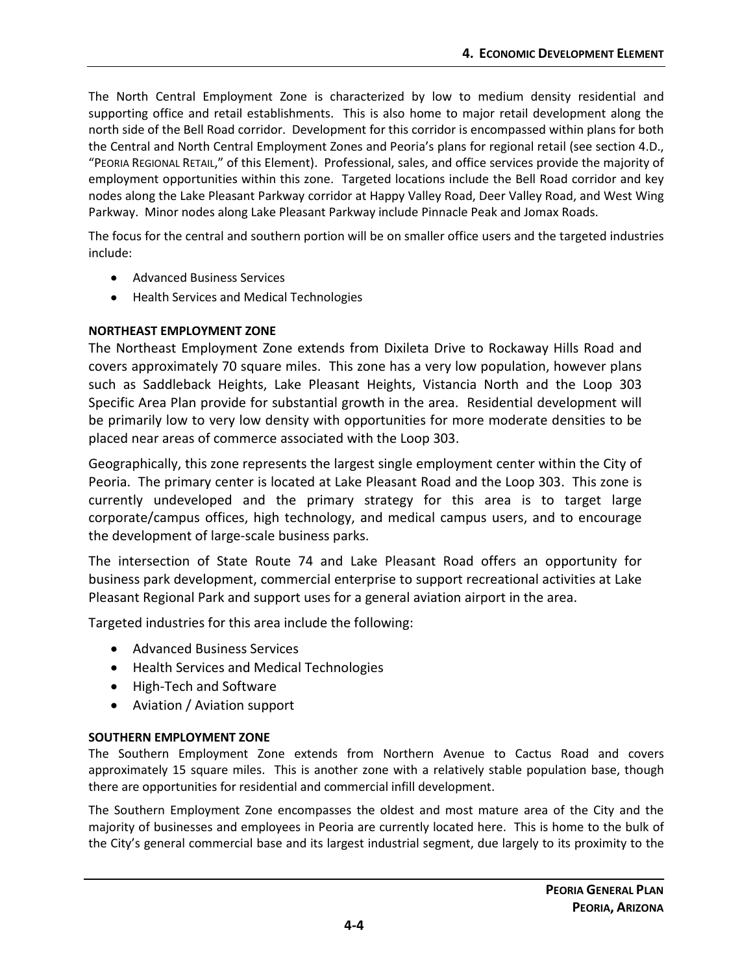The North Central Employment Zone is characterized by low to medium density residential and supporting office and retail establishments. This is also home to major retail development along the north side of the Bell Road corridor. Development for this corridor is encompassed within plans for both the Central and North Central Employment Zones and Peoria's plans for regional retail (see section 4.D., "PEORIA REGIONAL RETAIL," of this Element). Professional, sales, and office services provide the majority of employment opportunities within this zone. Targeted locations include the Bell Road corridor and key nodes along the Lake Pleasant Parkway corridor at Happy Valley Road, Deer Valley Road, and West Wing Parkway. Minor nodes along Lake Pleasant Parkway include Pinnacle Peak and Jomax Roads.

The focus for the central and southern portion will be on smaller office users and the targeted industries include:

- Advanced Business Services
- Health Services and Medical Technologies

# **NORTHEAST EMPLOYMENT ZONE**

The Northeast Employment Zone extends from Dixileta Drive to Rockaway Hills Road and covers approximately 70 square miles. This zone has a very low population, however plans such as Saddleback Heights, Lake Pleasant Heights, Vistancia North and the Loop 303 Specific Area Plan provide for substantial growth in the area. Residential development will be primarily low to very low density with opportunities for more moderate densities to be placed near areas of commerce associated with the Loop 303.

Geographically, this zone represents the largest single employment center within the City of Peoria. The primary center is located at Lake Pleasant Road and the Loop 303. This zone is currently undeveloped and the primary strategy for this area is to target large corporate/campus offices, high technology, and medical campus users, and to encourage the development of large-scale business parks.

The intersection of State Route 74 and Lake Pleasant Road offers an opportunity for business park development, commercial enterprise to support recreational activities at Lake Pleasant Regional Park and support uses for a general aviation airport in the area.

Targeted industries for this area include the following:

- Advanced Business Services
- Health Services and Medical Technologies
- High-Tech and Software
- Aviation / Aviation support

# **SOUTHERN EMPLOYMENT ZONE**

The Southern Employment Zone extends from Northern Avenue to Cactus Road and covers approximately 15 square miles. This is another zone with a relatively stable population base, though there are opportunities for residential and commercial infill development.

The Southern Employment Zone encompasses the oldest and most mature area of the City and the majority of businesses and employees in Peoria are currently located here. This is home to the bulk of the City's general commercial base and its largest industrial segment, due largely to its proximity to the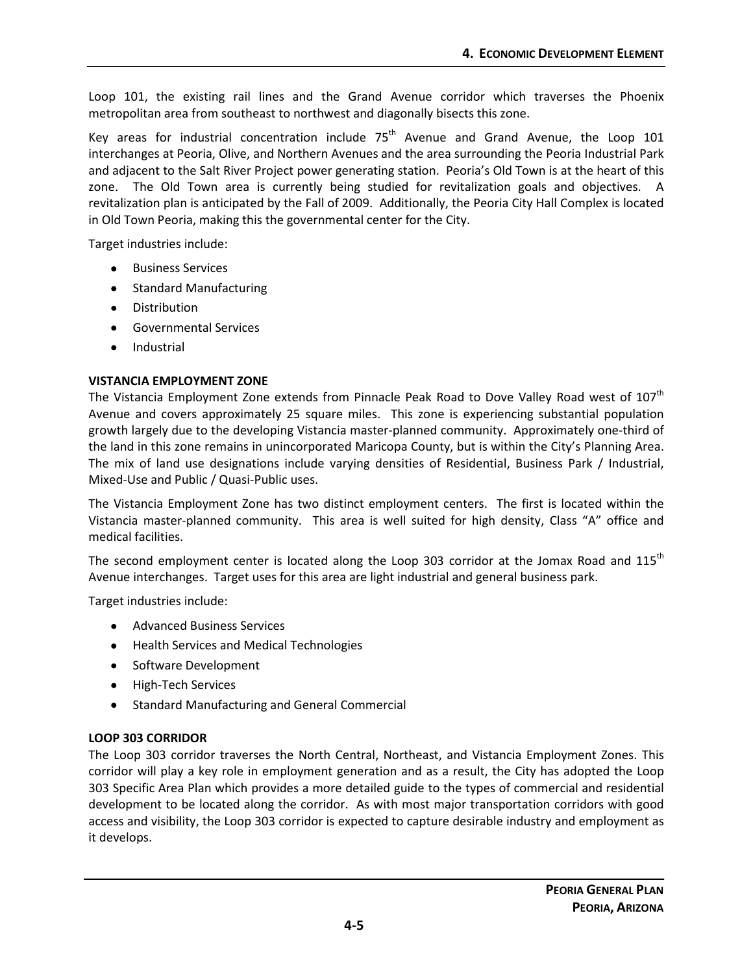Loop 101, the existing rail lines and the Grand Avenue corridor which traverses the Phoenix metropolitan area from southeast to northwest and diagonally bisects this zone.

Key areas for industrial concentration include  $75<sup>th</sup>$  Avenue and Grand Avenue, the Loop 101 interchanges at Peoria, Olive, and Northern Avenues and the area surrounding the Peoria Industrial Park and adjacent to the Salt River Project power generating station. Peoria's Old Town is at the heart of this zone. The Old Town area is currently being studied for revitalization goals and objectives. A revitalization plan is anticipated by the Fall of 2009. Additionally, the Peoria City Hall Complex is located in Old Town Peoria, making this the governmental center for the City.

Target industries include:

- Business Services
- Standard Manufacturing
- Distribution
- Governmental Services
- **Industrial**

# **VISTANCIA EMPLOYMENT ZONE**

The Vistancia Employment Zone extends from Pinnacle Peak Road to Dove Valley Road west of 107<sup>th</sup> Avenue and covers approximately 25 square miles. This zone is experiencing substantial population growth largely due to the developing Vistancia master-planned community. Approximately one-third of the land in this zone remains in unincorporated Maricopa County, but is within the City's Planning Area. The mix of land use designations include varying densities of Residential, Business Park / Industrial, Mixed-Use and Public / Quasi-Public uses.

The Vistancia Employment Zone has two distinct employment centers. The first is located within the Vistancia master-planned community. This area is well suited for high density, Class "A" office and medical facilities.

The second employment center is located along the Loop 303 corridor at the Jomax Road and 115<sup>th</sup> Avenue interchanges. Target uses for this area are light industrial and general business park.

Target industries include:

- Advanced Business Services
- Health Services and Medical Technologies
- Software Development
- High-Tech Services
- Standard Manufacturing and General Commercial

# **LOOP 303 CORRIDOR**

The Loop 303 corridor traverses the North Central, Northeast, and Vistancia Employment Zones. This corridor will play a key role in employment generation and as a result, the City has adopted the Loop 303 Specific Area Plan which provides a more detailed guide to the types of commercial and residential development to be located along the corridor. As with most major transportation corridors with good access and visibility, the Loop 303 corridor is expected to capture desirable industry and employment as it develops.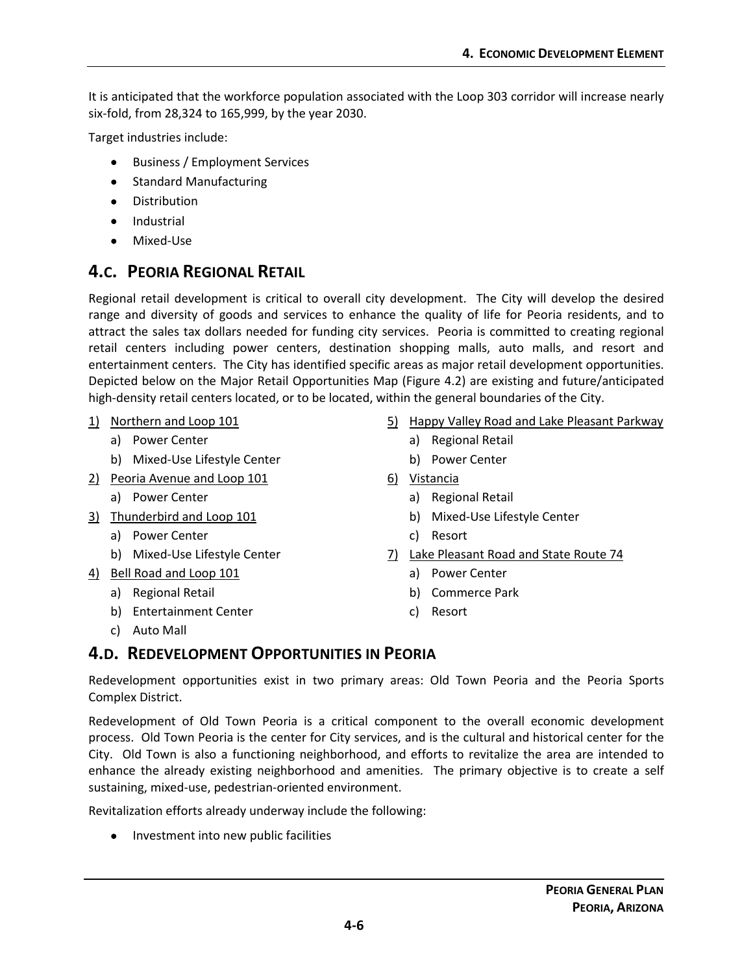It is anticipated that the workforce population associated with the Loop 303 corridor will increase nearly six-fold, from 28,324 to 165,999, by the year 2030.

Target industries include:

- Business / Employment Services
- Standard Manufacturing
- Distribution
- Industrial
- Mixed-Use

# <span id="page-5-0"></span>**4.C. PEORIA REGIONAL RETAIL**

Regional retail development is critical to overall city development. The City will develop the desired range and diversity of goods and services to enhance the quality of life for Peoria residents, and to attract the sales tax dollars needed for funding city services. Peoria is committed to creating regional retail centers including power centers, destination shopping malls, auto malls, and resort and entertainment centers. The City has identified specific areas as major retail development opportunities. Depicted below on the Major Retail Opportunities Map (Figure 4.2) are existing and future/anticipated high-density retail centers located, or to be located, within the general boundaries of the City.

- 1) Northern and Loop 101
	- a) Power Center
	- b) Mixed-Use Lifestyle Center
- 2) Peoria Avenue and Loop 101
	- a) Power Center
- 3) Thunderbird and Loop 101
	- a) Power Center
	- b) Mixed-Use Lifestyle Center
- 4) Bell Road and Loop 101
	- a) Regional Retail
	- b) Entertainment Center
	- c) Auto Mall
- 5) Happy Valley Road and Lake Pleasant Parkway
	- a) Regional Retail
	- b) Power Center
- 6) Vistancia
	- a) Regional Retail
	- b) Mixed-Use Lifestyle Center
	- c) Resort
- 7) Lake Pleasant Road and State Route 74
	- a) Power Center
	- b) Commerce Park
	- c) Resort

# <span id="page-5-1"></span>**4.D. REDEVELOPMENT OPPORTUNITIES IN PEORIA**

Redevelopment opportunities exist in two primary areas: Old Town Peoria and the Peoria Sports Complex District.

Redevelopment of Old Town Peoria is a critical component to the overall economic development process. Old Town Peoria is the center for City services, and is the cultural and historical center for the City. Old Town is also a functioning neighborhood, and efforts to revitalize the area are intended to enhance the already existing neighborhood and amenities. The primary objective is to create a self sustaining, mixed-use, pedestrian-oriented environment.

Revitalization efforts already underway include the following:

• Investment into new public facilities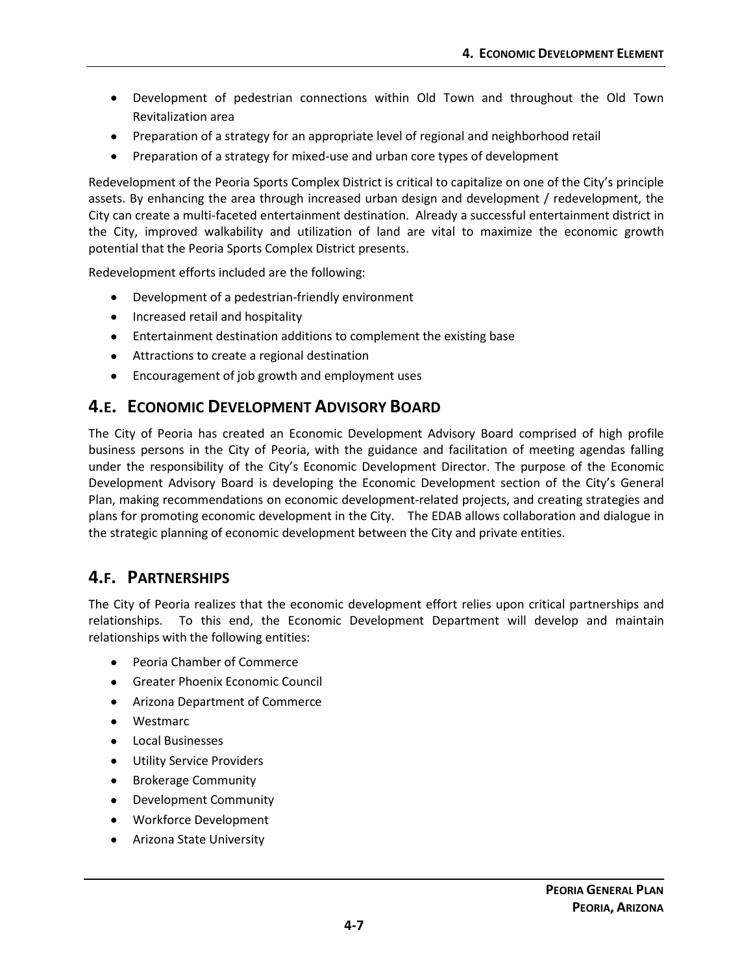- Development of pedestrian connections within Old Town and throughout the Old Town Revitalization area
- Preparation of a strategy for an appropriate level of regional and neighborhood retail
- Preparation of a strategy for mixed-use and urban core types of development

Redevelopment of the Peoria Sports Complex District is critical to capitalize on one of the City's principle assets. By enhancing the area through increased urban design and development / redevelopment, the City can create a multi-faceted entertainment destination. Already a successful entertainment district in the City, improved walkability and utilization of land are vital to maximize the economic growth potential that the Peoria Sports Complex District presents.

Redevelopment efforts included are the following:

- Development of a pedestrian-friendly environment
- Increased retail and hospitality
- Entertainment destination additions to complement the existing base
- Attractions to create a regional destination
- Encouragement of job growth and employment uses

# <span id="page-6-0"></span>**4.E. ECONOMIC DEVELOPMENT ADVISORY BOARD**

The City of Peoria has created an Economic Development Advisory Board comprised of high profile business persons in the City of Peoria, with the guidance and facilitation of meeting agendas falling under the responsibility of the City's Economic Development Director. The purpose of the Economic Development Advisory Board is developing the Economic Development section of the City's General Plan, making recommendations on economic development-related projects, and creating strategies and plans for promoting economic development in the City. The EDAB allows collaboration and dialogue in the strategic planning of economic development between the City and private entities.

# <span id="page-6-1"></span>**4.F. PARTNERSHIPS**

The City of Peoria realizes that the economic development effort relies upon critical partnerships and relationships. To this end, the Economic Development Department will develop and maintain relationships with the following entities:

- Peoria Chamber of Commerce
- Greater Phoenix Economic Council
- Arizona Department of Commerce
- Westmarc
- Local Businesses
- Utility Service Providers
- Brokerage Community
- Development Community
- Workforce Development
- Arizona State University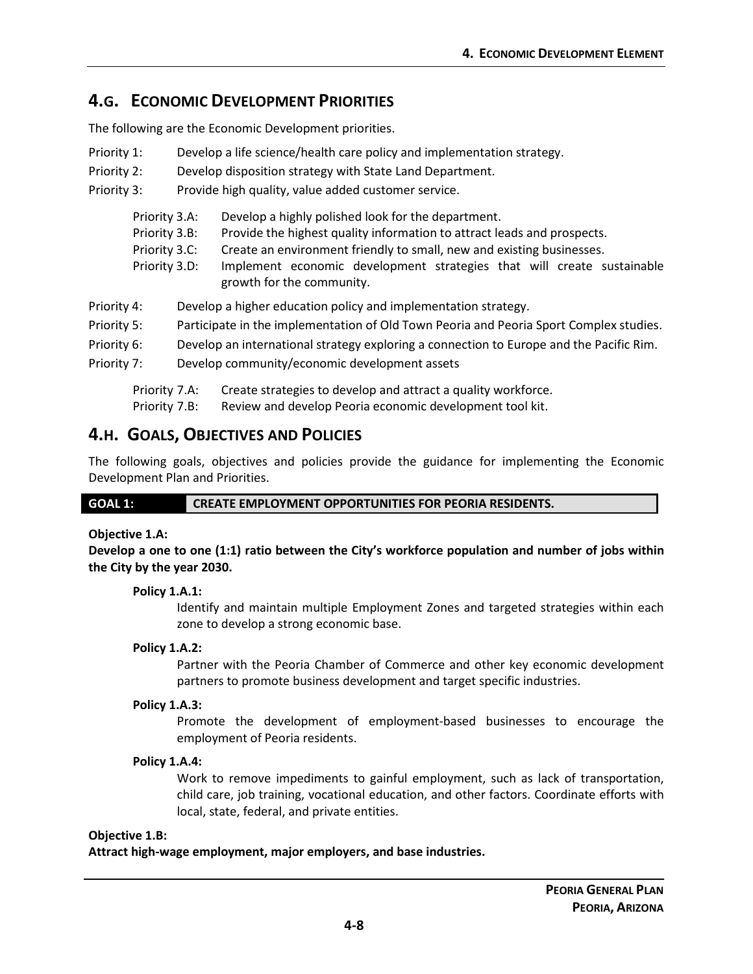# <span id="page-7-0"></span>**4.G. ECONOMIC DEVELOPMENT PRIORITIES**

The following are the Economic Development priorities.

| Priority 1: | Develop a life science/health care policy and implementation strategy. |
|-------------|------------------------------------------------------------------------|
|             |                                                                        |

- Priority 2: Develop disposition strategy with State Land Department.
- Priority 3: Provide high quality, value added customer service.

| Priority 3.A:<br>Priority 3.B:<br>Priority 3.C:<br>Priority 3.D: | Develop a highly polished look for the department.<br>Provide the highest quality information to attract leads and prospects.<br>Create an environment friendly to small, new and existing businesses.<br>Implement economic development strategies that will create sustainable<br>growth for the community. |
|------------------------------------------------------------------|---------------------------------------------------------------------------------------------------------------------------------------------------------------------------------------------------------------------------------------------------------------------------------------------------------------|
| Priority 4:                                                      | Develop a higher education policy and implementation strategy.                                                                                                                                                                                                                                                |
| Priority 5:                                                      | Participate in the implementation of Old Town Peoria and Peoria Sport Complex studies.                                                                                                                                                                                                                        |
| Priority 6:                                                      | Develop an international strategy exploring a connection to Europe and the Pacific Rim.                                                                                                                                                                                                                       |
| Priority 7:                                                      | Develop community/economic development assets                                                                                                                                                                                                                                                                 |

Priority 7.A: Create strategies to develop and attract a quality workforce.

Priority 7.B: Review and develop Peoria economic development tool kit.

# <span id="page-7-1"></span>**4.H. GOALS, OBJECTIVES AND POLICIES**

The following goals, objectives and policies provide the guidance for implementing the Economic Development Plan and Priorities.

**GOAL 1: CREATE EMPLOYMENT OPPORTUNITIES FOR PEORIA RESIDENTS.**

# **Objective 1.A:**

**Develop a one to one (1:1) ratio between the City's workforce population and number of jobs within the City by the year 2030.**

# **Policy 1.A.1:**

Identify and maintain multiple Employment Zones and targeted strategies within each zone to develop a strong economic base.

# **Policy 1.A.2:**

Partner with the Peoria Chamber of Commerce and other key economic development partners to promote business development and target specific industries.

# **Policy 1.A.3:**

Promote the development of employment-based businesses to encourage the employment of Peoria residents.

# **Policy 1.A.4:**

Work to remove impediments to gainful employment, such as lack of transportation, child care, job training, vocational education, and other factors. Coordinate efforts with local, state, federal, and private entities.

# **Objective 1.B:**

**Attract high-wage employment, major employers, and base industries.**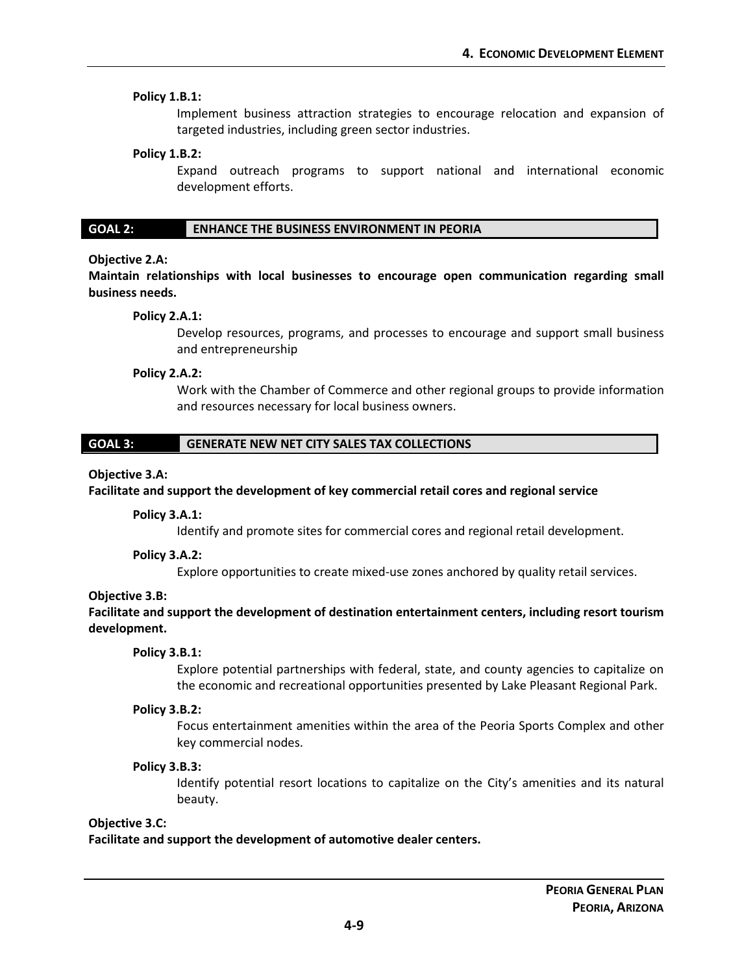#### **Policy 1.B.1:**

Implement business attraction strategies to encourage relocation and expansion of targeted industries, including green sector industries.

#### **Policy 1.B.2:**

Expand outreach programs to support national and international economic development efforts.

#### **GOAL 2: ENHANCE THE BUSINESS ENVIRONMENT IN PEORIA**

#### **Objective 2.A:**

**Maintain relationships with local businesses to encourage open communication regarding small business needs.**

#### **Policy 2.A.1:**

Develop resources, programs, and processes to encourage and support small business and entrepreneurship

#### **Policy 2.A.2:**

Work with the Chamber of Commerce and other regional groups to provide information and resources necessary for local business owners.

### **GOAL 3: GENERATE NEW NET CITY SALES TAX COLLECTIONS**

#### **Objective 3.A:**

#### **Facilitate and support the development of key commercial retail cores and regional service**

#### **Policy 3.A.1:**

Identify and promote sites for commercial cores and regional retail development.

### **Policy 3.A.2:**

Explore opportunities to create mixed-use zones anchored by quality retail services.

#### **Objective 3.B:**

**Facilitate and support the development of destination entertainment centers, including resort tourism development.**

#### **Policy 3.B.1:**

Explore potential partnerships with federal, state, and county agencies to capitalize on the economic and recreational opportunities presented by Lake Pleasant Regional Park.

#### **Policy 3.B.2:**

Focus entertainment amenities within the area of the Peoria Sports Complex and other key commercial nodes.

#### **Policy 3.B.3:**

Identify potential resort locations to capitalize on the City's amenities and its natural beauty.

#### **Objective 3.C:**

**Facilitate and support the development of automotive dealer centers.**